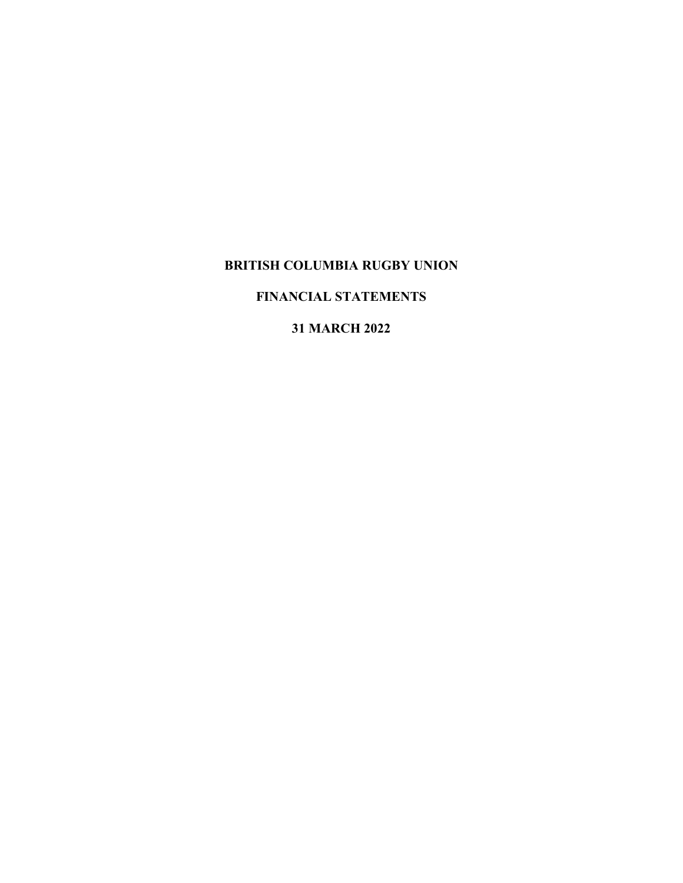### **BRITISH COLUMBIA RUGBY UNION**

### **FINANCIAL STATEMENTS**

### **31 MARCH 2022**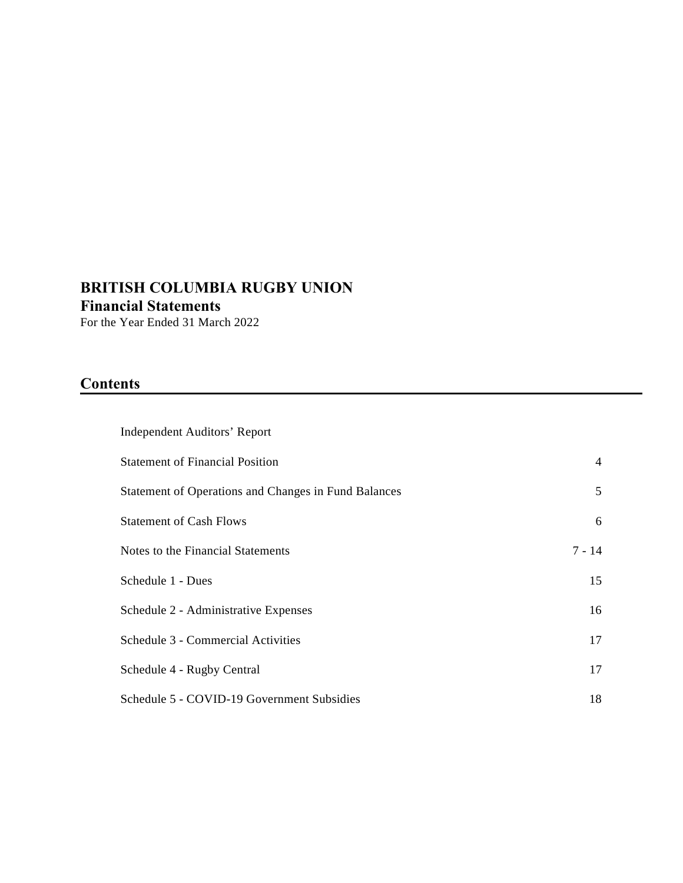# **BRITISH COLUMBIA RUGBY UNION**

### **Financial Statements**

For the Year Ended 31 March 2022

## **Contents**

| <b>Independent Auditors' Report</b>                  |                |
|------------------------------------------------------|----------------|
| <b>Statement of Financial Position</b>               | $\overline{4}$ |
| Statement of Operations and Changes in Fund Balances | 5              |
| <b>Statement of Cash Flows</b>                       | 6              |
| Notes to the Financial Statements                    | $7 - 14$       |
| Schedule 1 - Dues                                    | 15             |
| Schedule 2 - Administrative Expenses                 | 16             |
| Schedule 3 - Commercial Activities                   | 17             |
| Schedule 4 - Rugby Central                           | 17             |
| Schedule 5 - COVID-19 Government Subsidies           | 18             |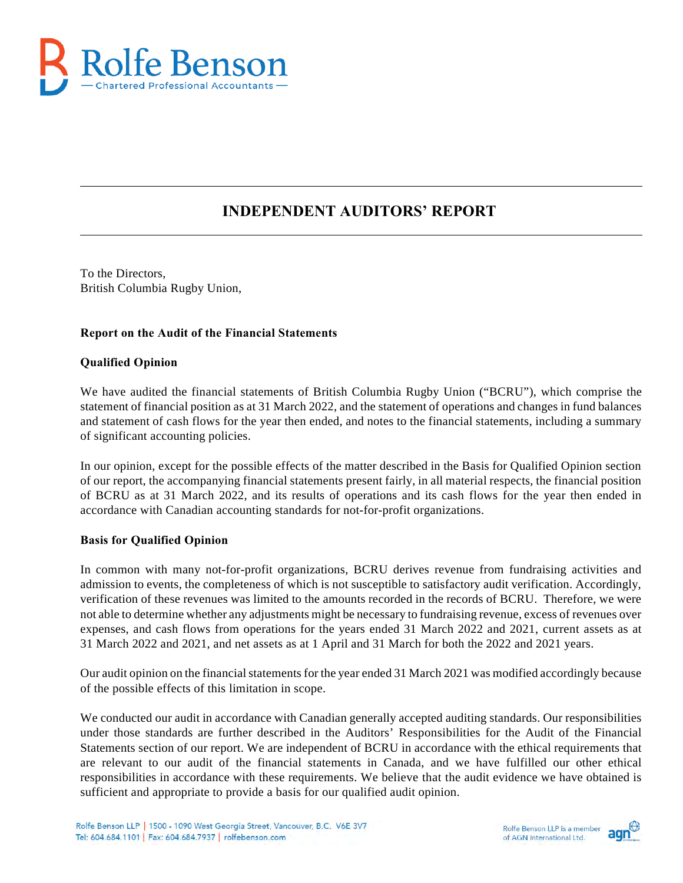

### **INDEPENDENT AUDITORS' REPORT**

To the Directors, British Columbia Rugby Union,

#### **Report on the Audit of the Financial Statements**

#### **Qualified Opinion**

We have audited the financial statements of British Columbia Rugby Union ("BCRU"), which comprise the statement of financial position as at 31 March 2022, and the statement of operations and changes in fund balances and statement of cash flows for the year then ended, and notes to the financial statements, including a summary of significant accounting policies.

In our opinion, except for the possible effects of the matter described in the Basis for Qualified Opinion section of our report, the accompanying financial statements present fairly, in all material respects, the financial position of BCRU as at 31 March 2022, and its results of operations and its cash flows for the year then ended in accordance with Canadian accounting standards for not-for-profit organizations.

#### **Basis for Qualified Opinion**

In common with many not-for-profit organizations, BCRU derives revenue from fundraising activities and admission to events, the completeness of which is not susceptible to satisfactory audit verification. Accordingly, verification of these revenues was limited to the amounts recorded in the records of BCRU. Therefore, we were not able to determine whether any adjustments might be necessary to fundraising revenue, excess of revenues over expenses, and cash flows from operations for the years ended 31 March 2022 and 2021, current assets as at 31 March 2022 and 2021, and net assets as at 1 April and 31 March for both the 2022 and 2021 years.

Our audit opinion on the financial statements for the year ended 31 March 2021 was modified accordingly because of the possible effects of this limitation in scope.

We conducted our audit in accordance with Canadian generally accepted auditing standards. Our responsibilities under those standards are further described in the Auditors' Responsibilities for the Audit of the Financial Statements section of our report. We are independent of BCRU in accordance with the ethical requirements that are relevant to our audit of the financial statements in Canada, and we have fulfilled our other ethical responsibilities in accordance with these requirements. We believe that the audit evidence we have obtained is sufficient and appropriate to provide a basis for our qualified audit opinion.

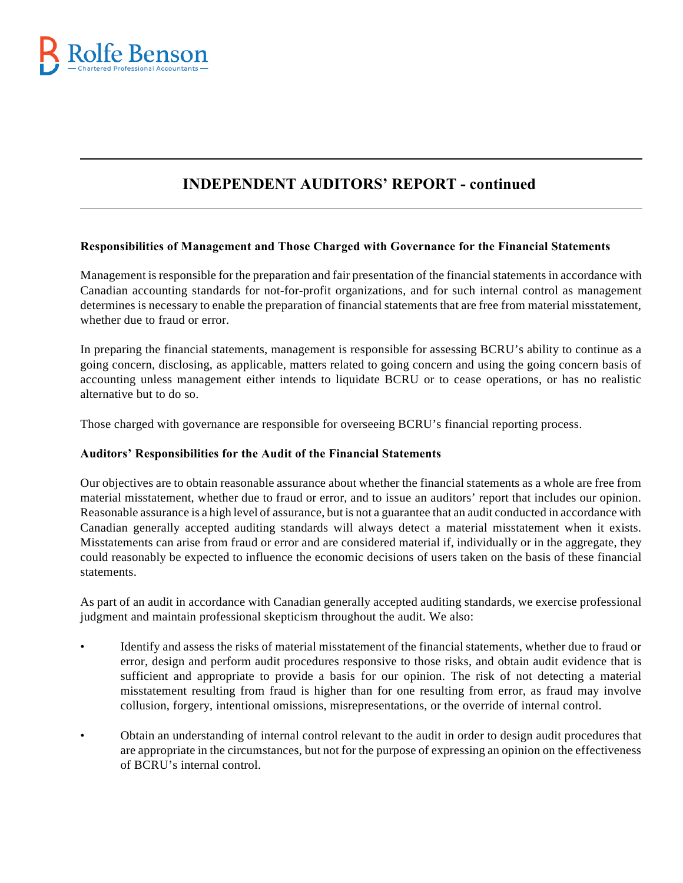

## **INDEPENDENT AUDITORS' REPORT - continued**

#### **Responsibilities of Management and Those Charged with Governance for the Financial Statements**

Management is responsible for the preparation and fair presentation of the financial statements in accordance with Canadian accounting standards for not-for-profit organizations, and for such internal control as management determines is necessary to enable the preparation of financial statements that are free from material misstatement, whether due to fraud or error.

In preparing the financial statements, management is responsible for assessing BCRU's ability to continue as a going concern, disclosing, as applicable, matters related to going concern and using the going concern basis of accounting unless management either intends to liquidate BCRU or to cease operations, or has no realistic alternative but to do so.

Those charged with governance are responsible for overseeing BCRU's financial reporting process.

#### **Auditors' Responsibilities for the Audit of the Financial Statements**

Our objectives are to obtain reasonable assurance about whether the financial statements as a whole are free from material misstatement, whether due to fraud or error, and to issue an auditors' report that includes our opinion. Reasonable assurance is a high level of assurance, but is not a guarantee that an audit conducted in accordance with Canadian generally accepted auditing standards will always detect a material misstatement when it exists. Misstatements can arise from fraud or error and are considered material if, individually or in the aggregate, they could reasonably be expected to influence the economic decisions of users taken on the basis of these financial statements.

As part of an audit in accordance with Canadian generally accepted auditing standards, we exercise professional judgment and maintain professional skepticism throughout the audit. We also:

- Identify and assess the risks of material misstatement of the financial statements, whether due to fraud or error, design and perform audit procedures responsive to those risks, and obtain audit evidence that is sufficient and appropriate to provide a basis for our opinion. The risk of not detecting a material misstatement resulting from fraud is higher than for one resulting from error, as fraud may involve collusion, forgery, intentional omissions, misrepresentations, or the override of internal control.
- Obtain an understanding of internal control relevant to the audit in order to design audit procedures that are appropriate in the circumstances, but not for the purpose of expressing an opinion on the effectiveness of BCRU's internal control.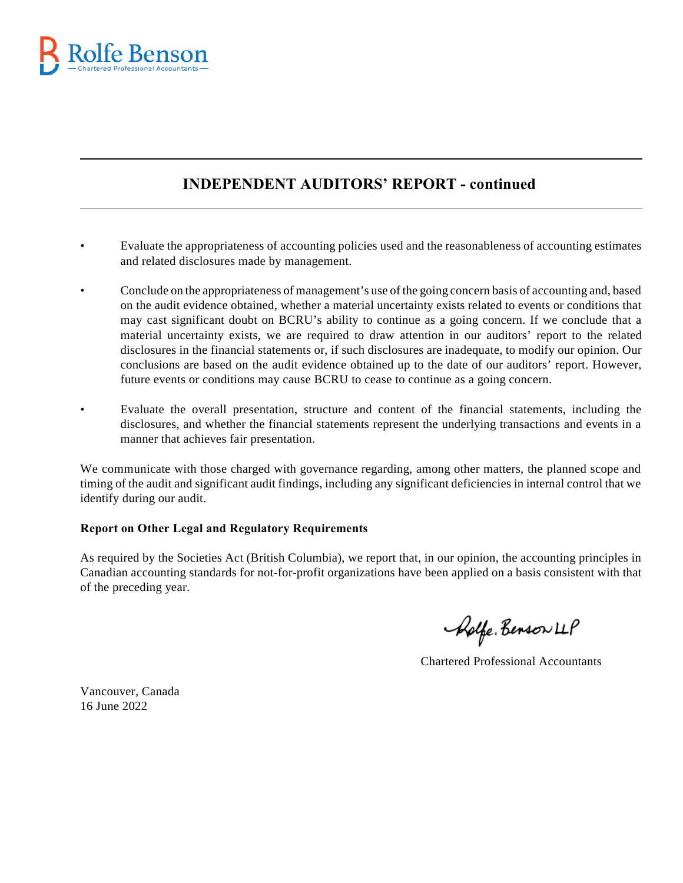

## **INDEPENDENT AUDITORS' REPORT - continued**

- Evaluate the appropriateness of accounting policies used and the reasonableness of accounting estimates and related disclosures made by management.
- Conclude on the appropriateness of management's use of the going concern basis of accounting and, based on the audit evidence obtained, whether a material uncertainty exists related to events or conditions that may cast significant doubt on BCRU's ability to continue as a going concern. If we conclude that a material uncertainty exists, we are required to draw attention in our auditors' report to the related disclosures in the financial statements or, if such disclosures are inadequate, to modify our opinion. Our conclusions are based on the audit evidence obtained up to the date of our auditors' report. However, future events or conditions may cause BCRU to cease to continue as a going concern.
- Evaluate the overall presentation, structure and content of the financial statements, including the disclosures, and whether the financial statements represent the underlying transactions and events in a manner that achieves fair presentation.

We communicate with those charged with governance regarding, among other matters, the planned scope and timing of the audit and significant audit findings, including any significant deficiencies in internal control that we identify during our audit.

### **Report on Other Legal and Regulatory Requirements**

As required by the Societies Act (British Columbia), we report that, in our opinion, the accounting principles in Canadian accounting standards for not-for-profit organizations have been applied on a basis consistent with that of the preceding year.

Adfe Benson LLP

Chartered Professional Accountants

Vancouver, Canada 16 June 2022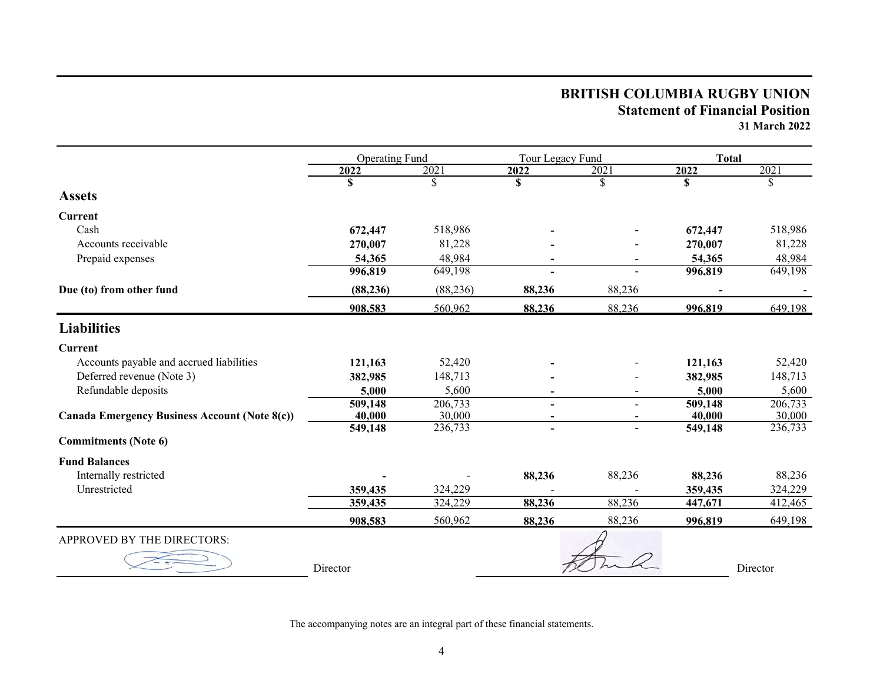### **BRITISH COLUMBIA RUGBY UNION Statement of Financial Position 31 March 2022**

Operating Fund Tour Legacy Fund Total<br>2022 2021 2022 2021 2022 2021 2022 **2022** 2021 **2022** 2021 **2022** 2021 **\$** \$ **\$** \$ **\$** \$ **Assets Current** Cash **672,447** 518,986 **-** - **672,447** 518,986 Accounts receivable **270,007** 81,228 **-** - **270,007** 81,228 Prepaid expenses **54,365** 48,984 - **54,365** 48,984 - **54,365** 48,984<br>**996.819** 649,198 - **996.819** 649,198 **996,819** 649,198 **-** - **996,819** 649,198 **Due (to) from other fund**  $(88,236)$  $(88,236)$  $88,236$  $88,236$  $88,236$  $88,236$  $-$ **908,583** 560,962 **88,236** 88,236 **996,819** 649,198 **Liabilities Current** Accounts payable and accrued liabilities **121,163** 52,420 **-** - **121,163** 52,420 Deferred revenue (Note 3) **382,985** 148,713 **-** - **382,985** 148,713 Refundable deposits **5,000** 5,600 **-** - **5,000** 5,600 **509,148** 206,733 **-** - **509,148** 206,733 **Canada Emergency Business Account (Note 8(c))**  $\frac{40,000}{549,148}$   $\frac{30,000}{236,733}$  **-**  $\frac{40,000}{549,148}$   $\frac{30,000}{236,733}$ **549,148** 236,733 **-** - **549,148** 236,733 **Commitments (Note 6) Fund Balances** Internally restricted **-** - **88,236** 88,236 **88,236** 88,236 Unrestricted **359,435** 324,229 - - **359,435** 324,229 **359,435** 324,229 **88,236** 88,236 **447,671** 412,465 **908,583** 560,962 **88,236** 88,236 **996,819** 649,198 APPROVED BY THE DIRECTORS: Director Director Director Director

The accompanying notes are an integral part of these financial statements.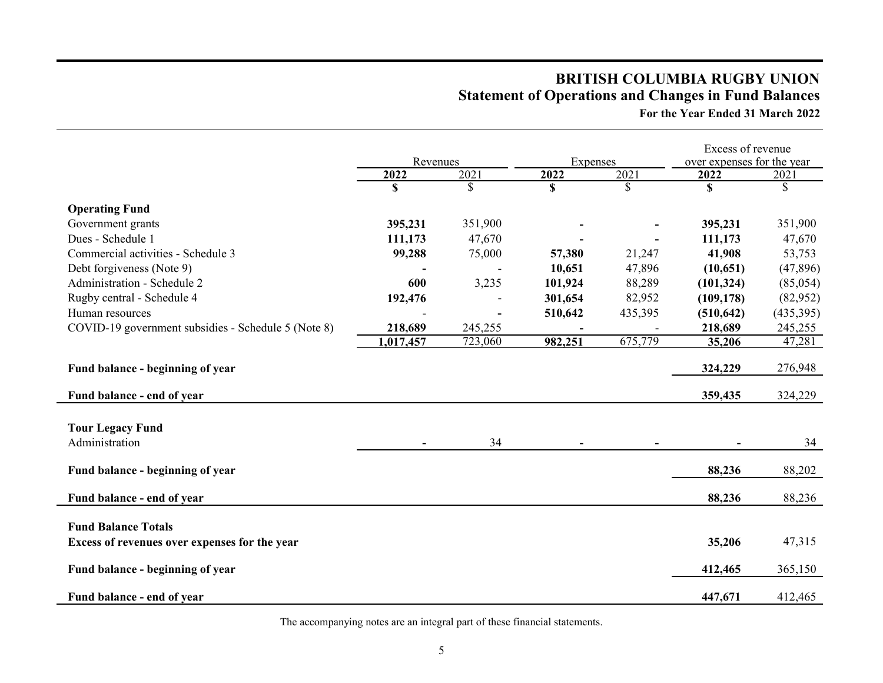### **BRITISH COLUMBIA RUGBY UNION Statement of Operations and Changes in Fund Balances For the Year Ended 31 March 2022**

|                                                     | Revenues  |         | Expenses |         | Excess of revenue<br>over expenses for the year |            |
|-----------------------------------------------------|-----------|---------|----------|---------|-------------------------------------------------|------------|
|                                                     | 2022      | 2021    | 2022     | 2021    | 2022                                            | 2021       |
|                                                     | S         | \$      | \$       | S       | S.                                              | \$         |
| <b>Operating Fund</b>                               |           |         |          |         |                                                 |            |
| Government grants                                   | 395,231   | 351,900 |          |         | 395,231                                         | 351,900    |
| Dues - Schedule 1                                   | 111,173   | 47,670  |          |         | 111,173                                         | 47,670     |
| Commercial activities - Schedule 3                  | 99,288    | 75,000  | 57,380   | 21,247  | 41,908                                          | 53,753     |
| Debt forgiveness (Note 9)                           |           |         | 10,651   | 47,896  | (10,651)                                        | (47, 896)  |
| Administration - Schedule 2                         | 600       | 3,235   | 101,924  | 88,289  | (101, 324)                                      | (85,054)   |
| Rugby central - Schedule 4                          | 192,476   |         | 301,654  | 82,952  | (109, 178)                                      | (82,952)   |
| Human resources                                     |           |         | 510,642  | 435,395 | (510, 642)                                      | (435, 395) |
| COVID-19 government subsidies - Schedule 5 (Note 8) | 218,689   | 245,255 |          |         | 218,689                                         | 245,255    |
|                                                     | 1,017,457 | 723,060 | 982,251  | 675,779 | 35,206                                          | 47,281     |
| Fund balance - beginning of year                    |           |         |          |         | 324,229                                         | 276,948    |
| Fund balance - end of year                          |           |         |          |         | 359,435                                         | 324,229    |
|                                                     |           |         |          |         |                                                 |            |
| <b>Tour Legacy Fund</b>                             |           |         |          |         |                                                 |            |
| Administration                                      |           | 34      |          |         |                                                 | 34         |
| Fund balance - beginning of year                    |           |         |          |         | 88,236                                          | 88,202     |
| Fund balance - end of year                          |           |         |          |         | 88,236                                          | 88,236     |
|                                                     |           |         |          |         |                                                 |            |
| <b>Fund Balance Totals</b>                          |           |         |          |         |                                                 |            |
| Excess of revenues over expenses for the year       |           |         |          |         | 35,206                                          | 47,315     |
| Fund balance - beginning of year                    |           |         |          |         | 412,465                                         | 365,150    |
| Fund balance - end of year                          |           |         |          |         | 447,671                                         | 412,465    |

The accompanying notes are an integral part of these financial statements.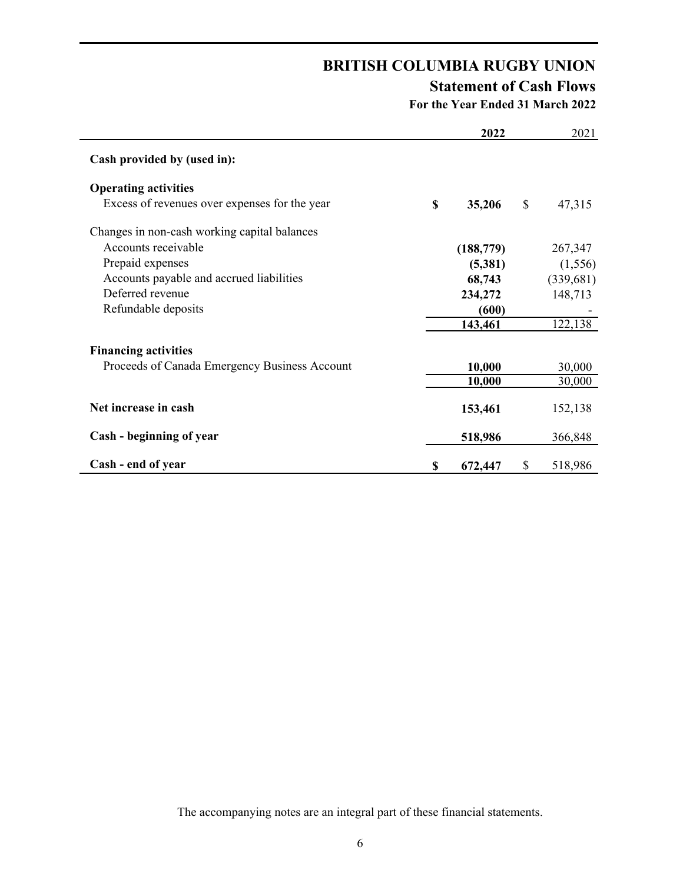### **BRITISH COLUMBIA RUGBY UNION**

### **Statement of Cash Flows**

**For the Year Ended 31 March 2022**

|                                               | 2022          | 2021          |
|-----------------------------------------------|---------------|---------------|
| Cash provided by (used in):                   |               |               |
| <b>Operating activities</b>                   |               |               |
| Excess of revenues over expenses for the year | \$<br>35,206  | \$<br>47,315  |
| Changes in non-cash working capital balances  |               |               |
| Accounts receivable                           | (188, 779)    | 267,347       |
| Prepaid expenses                              | (5,381)       | (1, 556)      |
| Accounts payable and accrued liabilities      | 68,743        | (339,681)     |
| Deferred revenue                              | 234,272       | 148,713       |
| Refundable deposits                           | (600)         |               |
|                                               | 143,461       | 122,138       |
| <b>Financing activities</b>                   |               |               |
| Proceeds of Canada Emergency Business Account | 10,000        | 30,000        |
|                                               | 10,000        | 30,000        |
| Net increase in cash                          | 153,461       | 152,138       |
| Cash - beginning of year                      | 518,986       | 366,848       |
| Cash - end of year                            | \$<br>672,447 | \$<br>518,986 |

The accompanying notes are an integral part of these financial statements.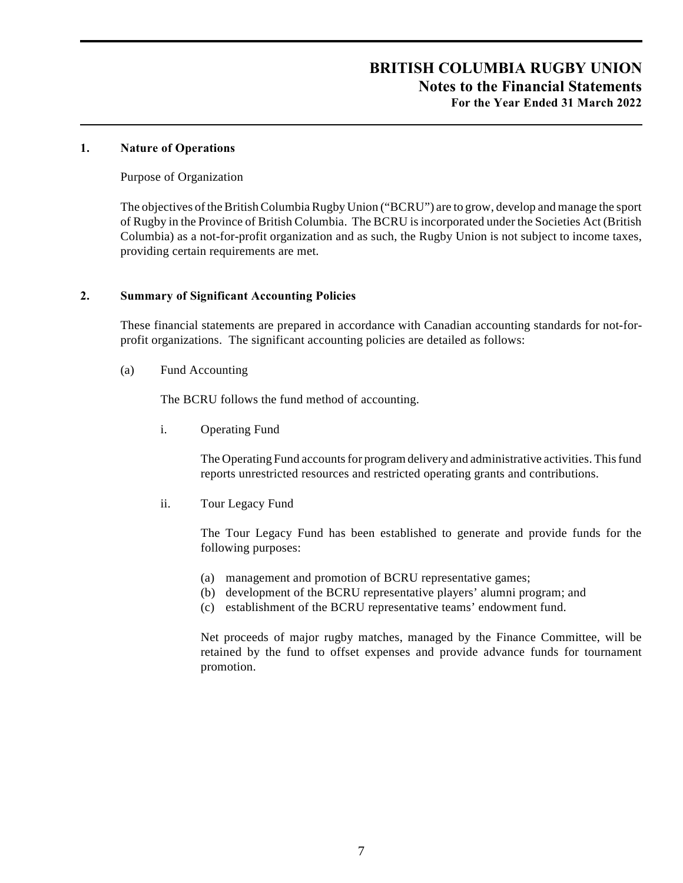#### **1. Nature of Operations**

#### Purpose of Organization

The objectives of the British Columbia Rugby Union ("BCRU") are to grow, develop and manage the sport of Rugby in the Province of British Columbia. The BCRU is incorporated under the Societies Act (British Columbia) as a not-for-profit organization and as such, the Rugby Union is not subject to income taxes, providing certain requirements are met.

#### **2. Summary of Significant Accounting Policies**

These financial statements are prepared in accordance with Canadian accounting standards for not-forprofit organizations. The significant accounting policies are detailed as follows:

(a) Fund Accounting

The BCRU follows the fund method of accounting.

i. Operating Fund

The Operating Fund accounts for program delivery and administrative activities. This fund reports unrestricted resources and restricted operating grants and contributions.

ii. Tour Legacy Fund

The Tour Legacy Fund has been established to generate and provide funds for the following purposes:

- (a) management and promotion of BCRU representative games;
- (b) development of the BCRU representative players' alumni program; and
- (c) establishment of the BCRU representative teams' endowment fund.

Net proceeds of major rugby matches, managed by the Finance Committee, will be retained by the fund to offset expenses and provide advance funds for tournament promotion.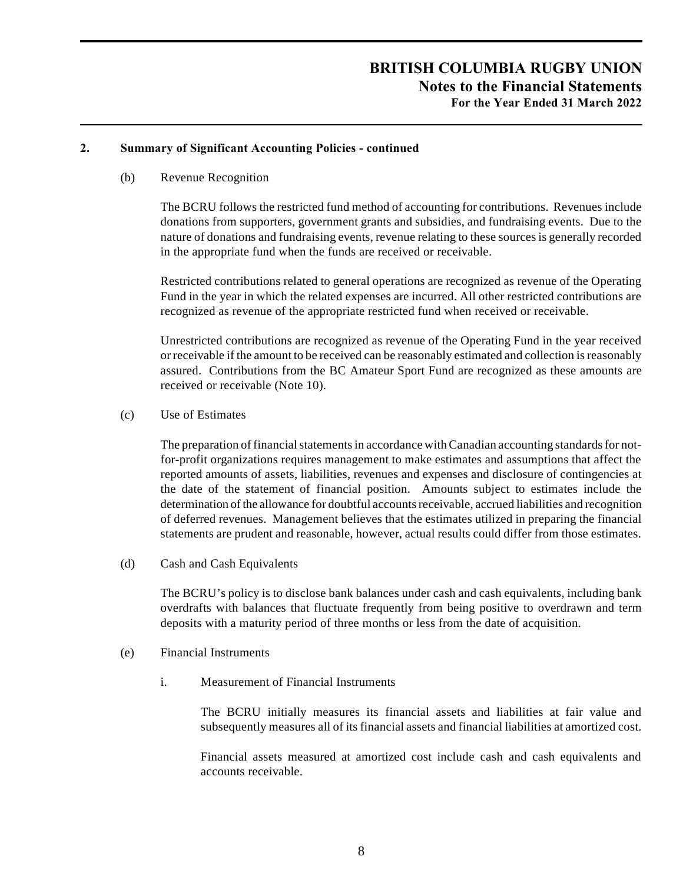#### **2. Summary of Significant Accounting Policies - continued**

#### (b) Revenue Recognition

The BCRU follows the restricted fund method of accounting for contributions. Revenues include donations from supporters, government grants and subsidies, and fundraising events. Due to the nature of donations and fundraising events, revenue relating to these sources is generally recorded in the appropriate fund when the funds are received or receivable.

Restricted contributions related to general operations are recognized as revenue of the Operating Fund in the year in which the related expenses are incurred. All other restricted contributions are recognized as revenue of the appropriate restricted fund when received or receivable.

Unrestricted contributions are recognized as revenue of the Operating Fund in the year received or receivable if the amount to be received can be reasonably estimated and collection is reasonably assured. Contributions from the BC Amateur Sport Fund are recognized as these amounts are received or receivable (Note 10).

#### (c) Use of Estimates

The preparation of financial statements in accordance with Canadian accounting standards for notfor-profit organizations requires management to make estimates and assumptions that affect the reported amounts of assets, liabilities, revenues and expenses and disclosure of contingencies at the date of the statement of financial position. Amounts subject to estimates include the determination of the allowance for doubtful accounts receivable, accrued liabilities and recognition of deferred revenues. Management believes that the estimates utilized in preparing the financial statements are prudent and reasonable, however, actual results could differ from those estimates.

(d) Cash and Cash Equivalents

The BCRU's policy is to disclose bank balances under cash and cash equivalents, including bank overdrafts with balances that fluctuate frequently from being positive to overdrawn and term deposits with a maturity period of three months or less from the date of acquisition.

- (e) Financial Instruments
	- i. Measurement of Financial Instruments

The BCRU initially measures its financial assets and liabilities at fair value and subsequently measures all of its financial assets and financial liabilities at amortized cost.

Financial assets measured at amortized cost include cash and cash equivalents and accounts receivable.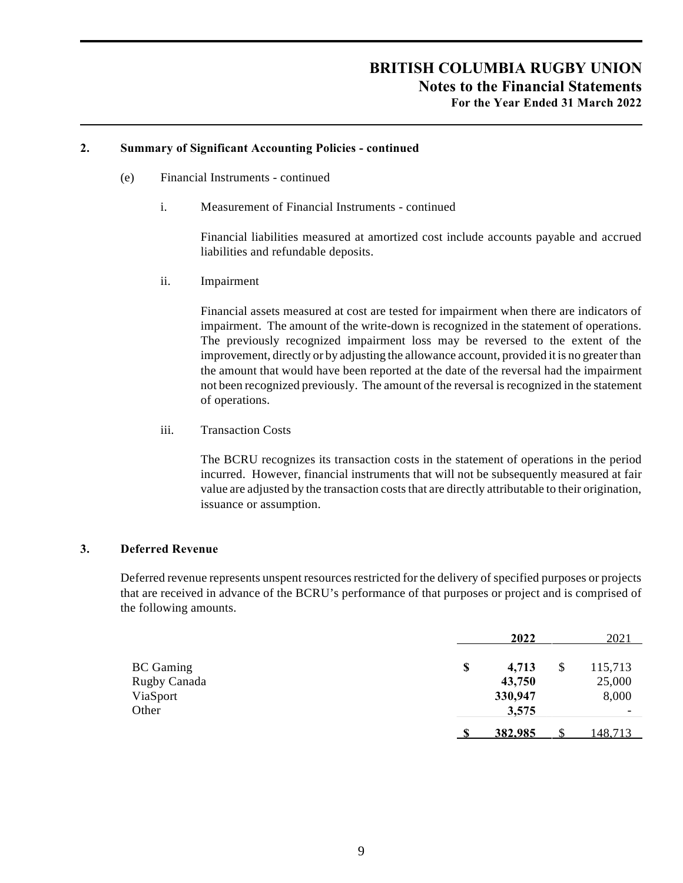#### **2. Summary of Significant Accounting Policies - continued**

- (e) Financial Instruments continued
	- i. Measurement of Financial Instruments continued

Financial liabilities measured at amortized cost include accounts payable and accrued liabilities and refundable deposits.

ii. Impairment

Financial assets measured at cost are tested for impairment when there are indicators of impairment. The amount of the write-down is recognized in the statement of operations. The previously recognized impairment loss may be reversed to the extent of the improvement, directly or by adjusting the allowance account, provided it is no greater than the amount that would have been reported at the date of the reversal had the impairment not been recognized previously. The amount of the reversal is recognized in the statement of operations.

iii. Transaction Costs

The BCRU recognizes its transaction costs in the statement of operations in the period incurred. However, financial instruments that will not be subsequently measured at fair value are adjusted by the transaction costs that are directly attributable to their origination, issuance or assumption.

#### **3. Deferred Revenue**

Deferred revenue represents unspent resources restricted for the delivery of specified purposes or projects that are received in advance of the BCRU's performance of that purposes or project and is comprised of the following amounts.

| 2022        | 2021          |
|-------------|---------------|
| \$<br>4,713 | \$<br>115,713 |
| 43,750      | 25,000        |
| 330,947     | 8,000         |
| 3,575       |               |
| 382,985     | 148,713       |
|             |               |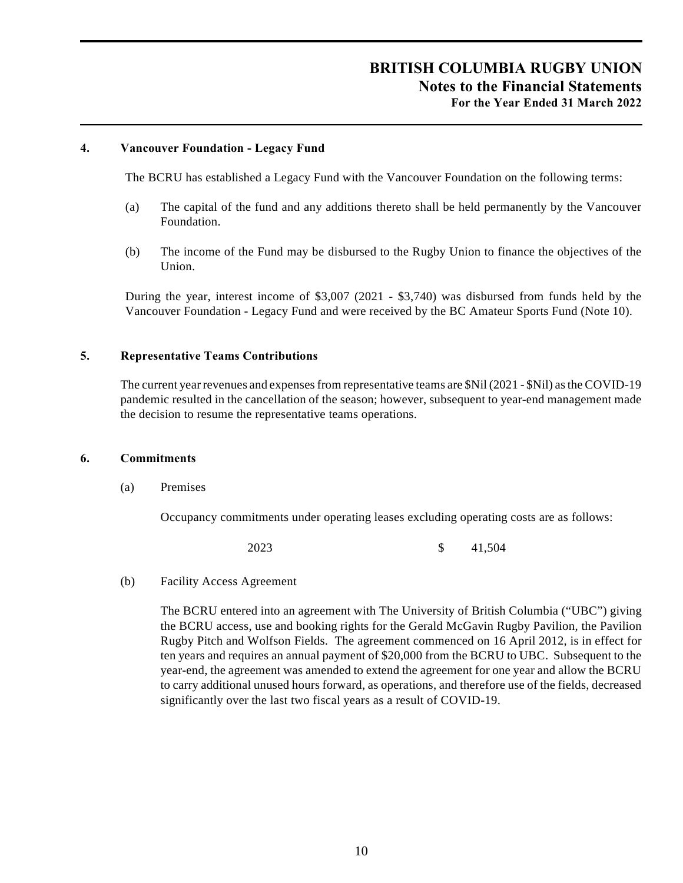#### **4. Vancouver Foundation - Legacy Fund**

The BCRU has established a Legacy Fund with the Vancouver Foundation on the following terms:

- (a) The capital of the fund and any additions thereto shall be held permanently by the Vancouver Foundation.
- (b) The income of the Fund may be disbursed to the Rugby Union to finance the objectives of the Union.

During the year, interest income of \$3,007 (2021 - \$3,740) was disbursed from funds held by the Vancouver Foundation - Legacy Fund and were received by the BC Amateur Sports Fund (Note 10).

#### **5. Representative Teams Contributions**

The current year revenues and expenses from representative teams are \$Nil (2021 - \$Nil) as the COVID-19 pandemic resulted in the cancellation of the season; however, subsequent to year-end management made the decision to resume the representative teams operations.

#### **6. Commitments**

(a) Premises

Occupancy commitments under operating leases excluding operating costs are as follows:

2023 \$ 41,504

#### (b) Facility Access Agreement

The BCRU entered into an agreement with The University of British Columbia ("UBC") giving the BCRU access, use and booking rights for the Gerald McGavin Rugby Pavilion, the Pavilion Rugby Pitch and Wolfson Fields. The agreement commenced on 16 April 2012, is in effect for ten years and requires an annual payment of \$20,000 from the BCRU to UBC. Subsequent to the year-end, the agreement was amended to extend the agreement for one year and allow the BCRU to carry additional unused hours forward, as operations, and therefore use of the fields, decreased significantly over the last two fiscal years as a result of COVID-19.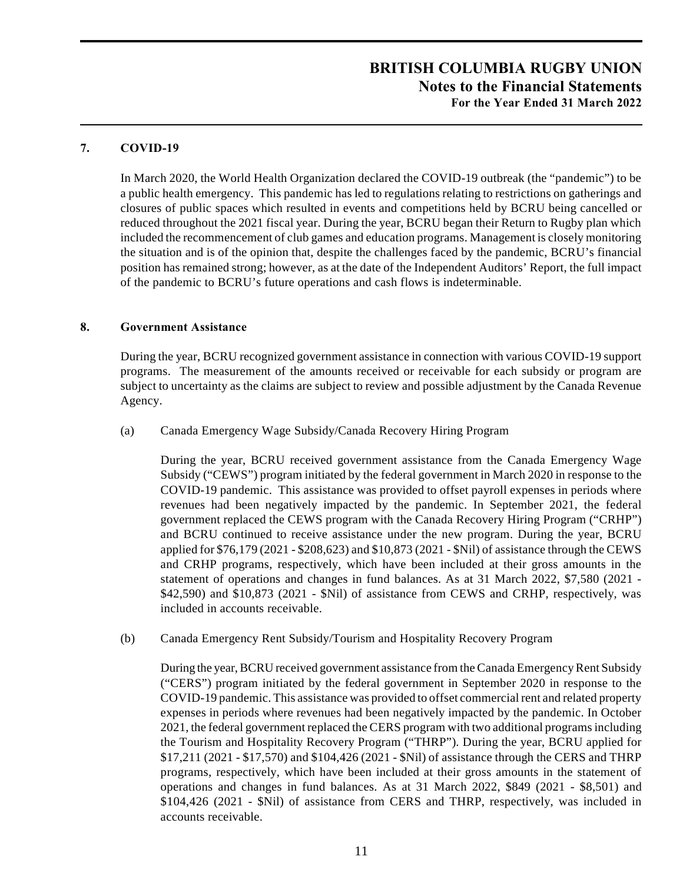### **7. COVID-19**

In March 2020, the World Health Organization declared the COVID-19 outbreak (the "pandemic") to be a public health emergency. This pandemic has led to regulations relating to restrictions on gatherings and closures of public spaces which resulted in events and competitions held by BCRU being cancelled or reduced throughout the 2021 fiscal year. During the year, BCRU began their Return to Rugby plan which included the recommencement of club games and education programs. Management is closely monitoring the situation and is of the opinion that, despite the challenges faced by the pandemic, BCRU's financial position has remained strong; however, as at the date of the Independent Auditors' Report, the full impact of the pandemic to BCRU's future operations and cash flows is indeterminable.

#### **8. Government Assistance**

During the year, BCRU recognized government assistance in connection with various COVID-19 support programs. The measurement of the amounts received or receivable for each subsidy or program are subject to uncertainty as the claims are subject to review and possible adjustment by the Canada Revenue Agency.

(a) Canada Emergency Wage Subsidy/Canada Recovery Hiring Program

During the year, BCRU received government assistance from the Canada Emergency Wage Subsidy ("CEWS") program initiated by the federal government in March 2020 in response to the COVID-19 pandemic. This assistance was provided to offset payroll expenses in periods where revenues had been negatively impacted by the pandemic. In September 2021, the federal government replaced the CEWS program with the Canada Recovery Hiring Program ("CRHP") and BCRU continued to receive assistance under the new program. During the year, BCRU applied for \$76,179 (2021 - \$208,623) and \$10,873 (2021 - \$Nil) of assistance through the CEWS and CRHP programs, respectively, which have been included at their gross amounts in the statement of operations and changes in fund balances. As at 31 March 2022, \$7,580 (2021 - \$42,590) and \$10,873 (2021 - \$Nil) of assistance from CEWS and CRHP, respectively, was included in accounts receivable.

(b) Canada Emergency Rent Subsidy/Tourism and Hospitality Recovery Program

During the year, BCRU received government assistance from the Canada Emergency Rent Subsidy ("CERS") program initiated by the federal government in September 2020 in response to the COVID-19 pandemic. This assistance was provided to offset commercial rent and related property expenses in periods where revenues had been negatively impacted by the pandemic. In October 2021, the federal government replaced the CERS program with two additional programs including the Tourism and Hospitality Recovery Program ("THRP"). During the year, BCRU applied for \$17,211 (2021 - \$17,570) and \$104,426 (2021 - \$Nil) of assistance through the CERS and THRP programs, respectively, which have been included at their gross amounts in the statement of operations and changes in fund balances. As at 31 March 2022, \$849 (2021 - \$8,501) and \$104,426 (2021 - \$Nil) of assistance from CERS and THRP, respectively, was included in accounts receivable.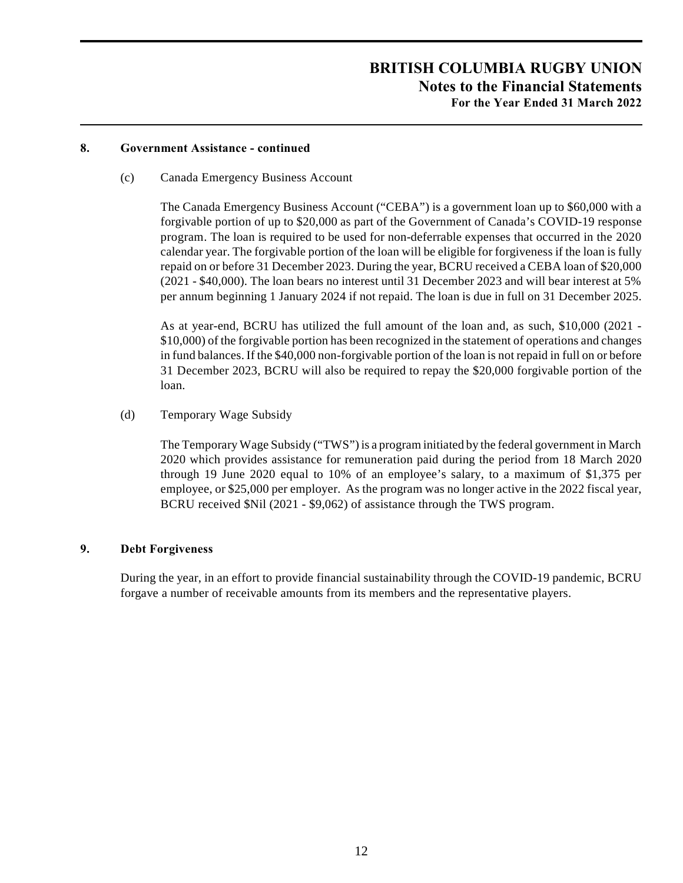#### **8. Government Assistance - continued**

#### (c) Canada Emergency Business Account

The Canada Emergency Business Account ("CEBA") is a government loan up to \$60,000 with a forgivable portion of up to \$20,000 as part of the Government of Canada's COVID-19 response program. The loan is required to be used for non-deferrable expenses that occurred in the 2020 calendar year. The forgivable portion of the loan will be eligible for forgiveness if the loan is fully repaid on or before 31 December 2023. During the year, BCRU received a CEBA loan of \$20,000 (2021 - \$40,000). The loan bears no interest until 31 December 2023 and will bear interest at 5% per annum beginning 1 January 2024 if not repaid. The loan is due in full on 31 December 2025.

As at year-end, BCRU has utilized the full amount of the loan and, as such, \$10,000 (2021 - \$10,000) of the forgivable portion has been recognized in the statement of operations and changes in fund balances. If the \$40,000 non-forgivable portion of the loan is not repaid in full on or before 31 December 2023, BCRU will also be required to repay the \$20,000 forgivable portion of the loan.

#### (d) Temporary Wage Subsidy

The Temporary Wage Subsidy ("TWS") is a program initiated by the federal government in March 2020 which provides assistance for remuneration paid during the period from 18 March 2020 through 19 June 2020 equal to 10% of an employee's salary, to a maximum of \$1,375 per employee, or \$25,000 per employer. As the program was no longer active in the 2022 fiscal year, BCRU received \$Nil (2021 - \$9,062) of assistance through the TWS program.

#### **9. Debt Forgiveness**

During the year, in an effort to provide financial sustainability through the COVID-19 pandemic, BCRU forgave a number of receivable amounts from its members and the representative players.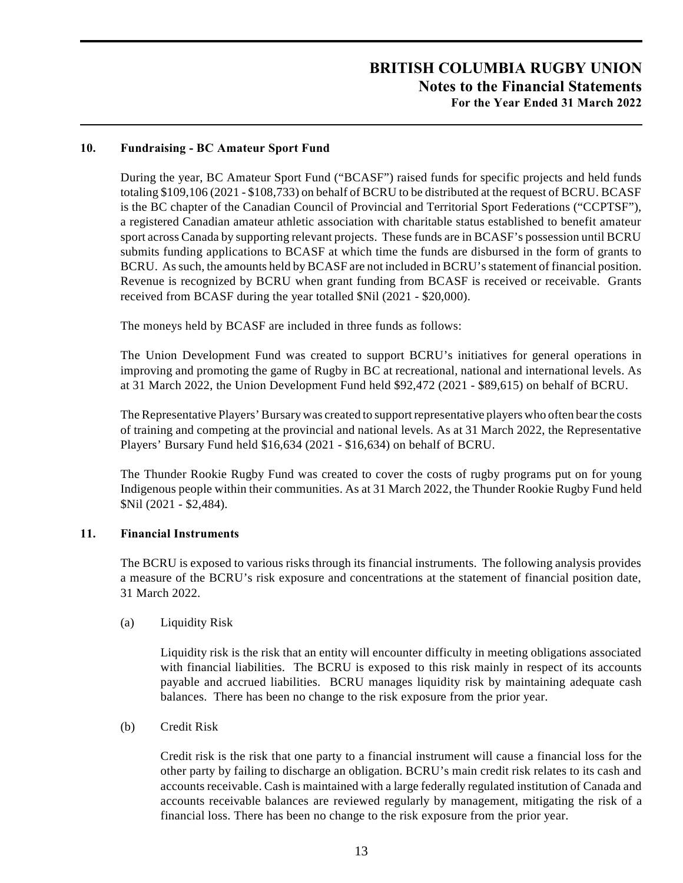#### **10. Fundraising - BC Amateur Sport Fund**

During the year, BC Amateur Sport Fund ("BCASF") raised funds for specific projects and held funds totaling \$109,106 (2021 - \$108,733) on behalf of BCRU to be distributed at the request of BCRU. BCASF is the BC chapter of the Canadian Council of Provincial and Territorial Sport Federations ("CCPTSF"), a registered Canadian amateur athletic association with charitable status established to benefit amateur sport across Canada by supporting relevant projects. These funds are in BCASF's possession until BCRU submits funding applications to BCASF at which time the funds are disbursed in the form of grants to BCRU. As such, the amounts held by BCASF are not included in BCRU's statement of financial position. Revenue is recognized by BCRU when grant funding from BCASF is received or receivable. Grants received from BCASF during the year totalled \$Nil (2021 - \$20,000).

The moneys held by BCASF are included in three funds as follows:

The Union Development Fund was created to support BCRU's initiatives for general operations in improving and promoting the game of Rugby in BC at recreational, national and international levels. As at 31 March 2022, the Union Development Fund held \$92,472 (2021 - \$89,615) on behalf of BCRU.

The Representative Players' Bursary was created to support representative players who often bear the costs of training and competing at the provincial and national levels. As at 31 March 2022, the Representative Players' Bursary Fund held \$16,634 (2021 - \$16,634) on behalf of BCRU.

The Thunder Rookie Rugby Fund was created to cover the costs of rugby programs put on for young Indigenous people within their communities. As at 31 March 2022, the Thunder Rookie Rugby Fund held \$Nil (2021 - \$2,484).

#### **11. Financial Instruments**

The BCRU is exposed to various risks through its financial instruments. The following analysis provides a measure of the BCRU's risk exposure and concentrations at the statement of financial position date, 31 March 2022.

(a) Liquidity Risk

Liquidity risk is the risk that an entity will encounter difficulty in meeting obligations associated with financial liabilities. The BCRU is exposed to this risk mainly in respect of its accounts payable and accrued liabilities. BCRU manages liquidity risk by maintaining adequate cash balances. There has been no change to the risk exposure from the prior year.

(b) Credit Risk

Credit risk is the risk that one party to a financial instrument will cause a financial loss for the other party by failing to discharge an obligation. BCRU's main credit risk relates to its cash and accounts receivable. Cash is maintained with a large federally regulated institution of Canada and accounts receivable balances are reviewed regularly by management, mitigating the risk of a financial loss. There has been no change to the risk exposure from the prior year.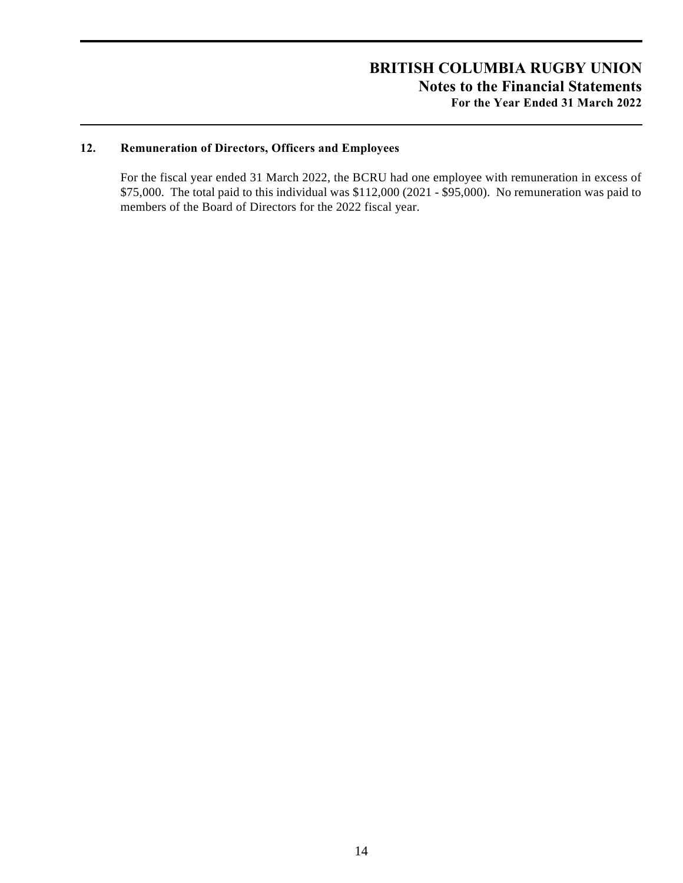### **12. Remuneration of Directors, Officers and Employees**

For the fiscal year ended 31 March 2022, the BCRU had one employee with remuneration in excess of \$75,000. The total paid to this individual was \$112,000 (2021 - \$95,000). No remuneration was paid to members of the Board of Directors for the 2022 fiscal year.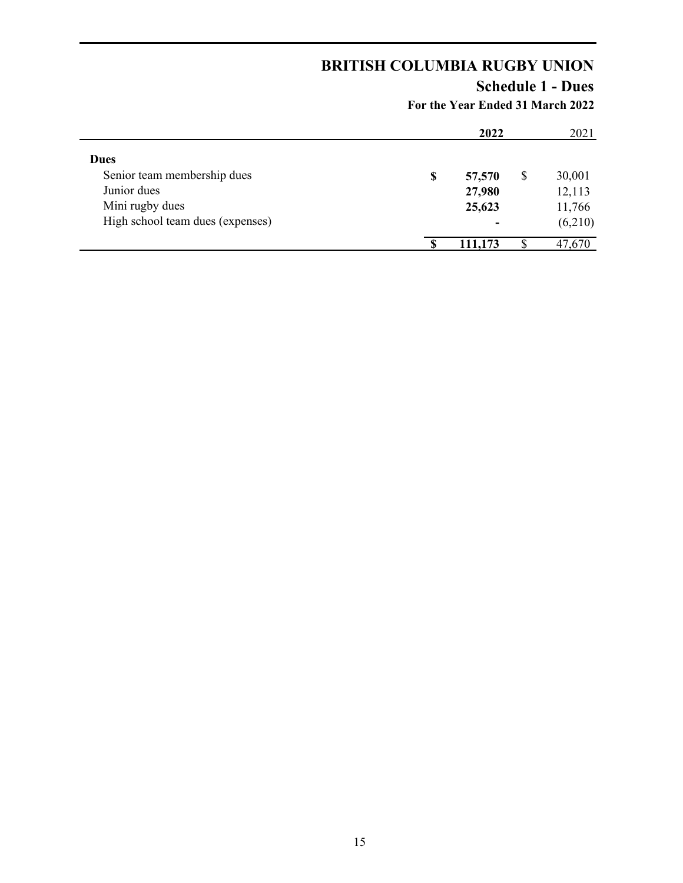## **BRITISH COLUMBIA RUGBY UNION Schedule 1 - Dues**

|                                  | 2022 |         | 2021         |  |
|----------------------------------|------|---------|--------------|--|
| <b>Dues</b>                      |      |         |              |  |
| Senior team membership dues      | \$   | 57,570  | \$<br>30,001 |  |
| Junior dues                      |      | 27,980  | 12,113       |  |
| Mini rugby dues                  |      | 25,623  | 11,766       |  |
| High school team dues (expenses) |      | -       | (6,210)      |  |
|                                  |      | 111,173 | 47,670       |  |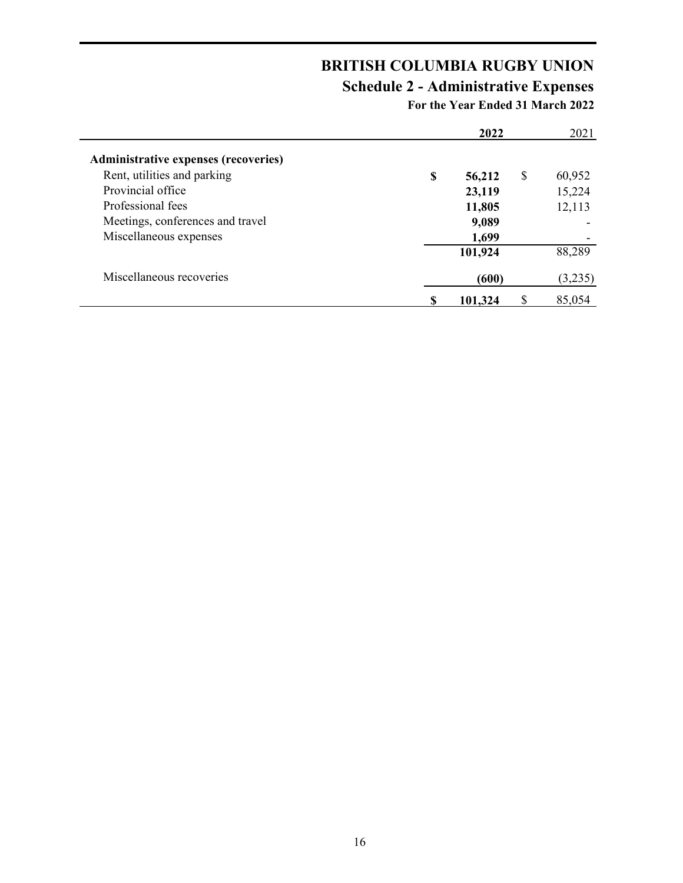# **BRITISH COLUMBIA RUGBY UNION Schedule 2 - Administrative Expenses**

|                                      | 2022         |    | 2021    |  |
|--------------------------------------|--------------|----|---------|--|
| Administrative expenses (recoveries) |              |    |         |  |
| Rent, utilities and parking          | \$<br>56,212 | \$ | 60,952  |  |
| Provincial office                    | 23,119       |    | 15,224  |  |
| Professional fees                    | 11,805       |    | 12,113  |  |
| Meetings, conferences and travel     | 9,089        |    |         |  |
| Miscellaneous expenses               | 1,699        |    |         |  |
|                                      | 101,924      |    | 88,289  |  |
| Miscellaneous recoveries             | (600)        |    | (3,235) |  |
|                                      | 101,324      | \$ | 85,054  |  |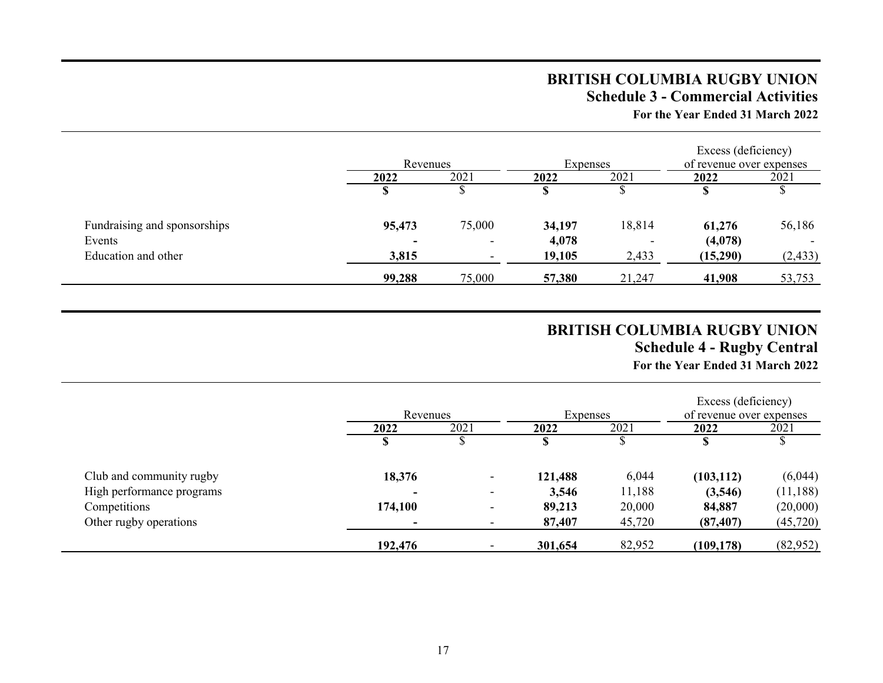## **BRITISH COLUMBIA RUGBY UNION Schedule 3 - Commercial Activities**

**For the Year Ended 31 March 2022**

|                              |          |                          |          |        | Excess (deficiency)      |          |
|------------------------------|----------|--------------------------|----------|--------|--------------------------|----------|
|                              | Revenues |                          | Expenses |        | of revenue over expenses |          |
|                              | 2022     | 2021                     | 2022     | 2021   | 2022                     | 2021     |
|                              |          |                          | D        |        | ۱D                       |          |
| Fundraising and sponsorships | 95,473   | 75,000                   | 34,197   | 18,814 | 61,276                   | 56,186   |
| Events                       | -        | $\overline{\phantom{a}}$ | 4,078    |        | (4,078)                  |          |
| Education and other          | 3,815    | $\sim$                   | 19,105   | 2,433  | (15,290)                 | (2, 433) |
|                              | 99,288   | 75,000                   | 57,380   | 21,247 | 41,908                   | 53,753   |

## **BRITISH COLUMBIA RUGBY UNION Schedule 4 - Rugby Central**

|                           |         |                          |         |          | Excess (deficiency) |                          |
|---------------------------|---------|--------------------------|---------|----------|---------------------|--------------------------|
|                           |         | Revenues                 |         | Expenses |                     | of revenue over expenses |
|                           | 2022    | 2021                     | 2022    | 2021     | 2022                | 2021                     |
|                           |         |                          |         |          |                     |                          |
| Club and community rugby  | 18,376  | $\sim$                   | 121,488 | 6,044    | (103, 112)          | (6,044)                  |
| High performance programs |         | $\overline{\phantom{a}}$ | 3,546   | 11,188   | (3,546)             | (11, 188)                |
| Competitions              | 174,100 | $\overline{\phantom{a}}$ | 89,213  | 20,000   | 84,887              | (20,000)                 |
| Other rugby operations    | -       | $\sim$                   | 87,407  | 45,720   | (87, 407)           | (45, 720)                |
|                           | 192,476 | $\overline{\phantom{0}}$ | 301,654 | 82,952   | (109, 178)          | (82,952)                 |